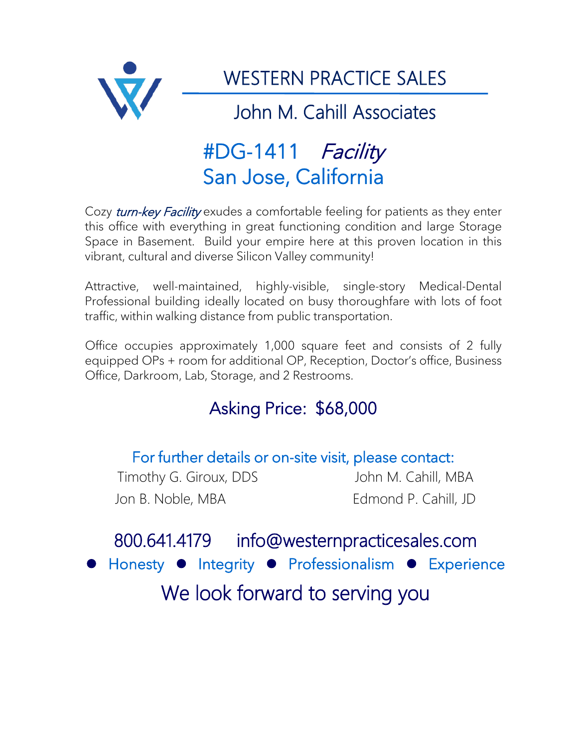

# #DG-1411 Facility San Jose, California

Cozy *turn-key Facility* exudes a comfortable feeling for patients as they enter this office with everything in great functioning condition and large Storage Space in Basement. Build your empire here at this proven location in this vibrant, cultural and diverse Silicon Valley community!

Attractive, well-maintained, highly-visible, single-story Medical-Dental Professional building ideally located on busy thoroughfare with lots of foot traffic, within walking distance from public transportation.

Office occupies approximately 1,000 square feet and consists of 2 fully equipped OPs + room for additional OP, Reception, Doctor's office, Business Office, Darkroom, Lab, Storage, and 2 Restrooms.

### Asking Price: \$68,000

For further details or on-site visit, please contact: Timothy G. Giroux, DDS John M. Cahill, MBA

Jon B. Noble, MBA Edmond P. Cahill, JD

## 800.641.4179 info@westernpracticesales.com Honesty • Integrity • Professionalism • Experience We look forward to serving you